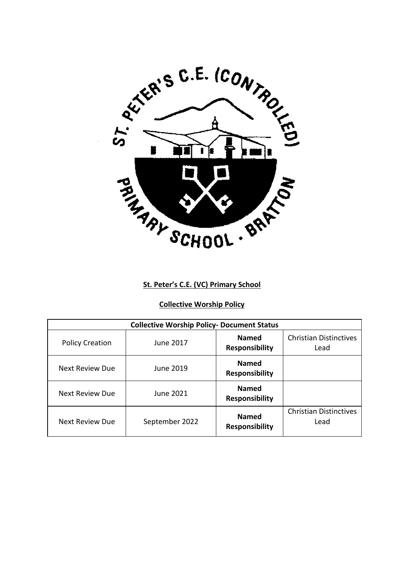

## **St. Peter's C.E. (VC) Primary School**

# **Collective Worship Policy**

| <b>Collective Worship Policy- Document Status</b> |                |                                       |                                       |
|---------------------------------------------------|----------------|---------------------------------------|---------------------------------------|
| <b>Policy Creation</b>                            | June 2017      | <b>Named</b><br><b>Responsibility</b> | <b>Christian Distinctives</b><br>Lead |
| <b>Next Review Due</b>                            | June 2019.     | <b>Named</b><br><b>Responsibility</b> |                                       |
| <b>Next Review Due</b>                            | June 2021      | <b>Named</b><br><b>Responsibility</b> |                                       |
| Next Review Due                                   | September 2022 | <b>Named</b><br><b>Responsibility</b> | <b>Christian Distinctives</b><br>Lead |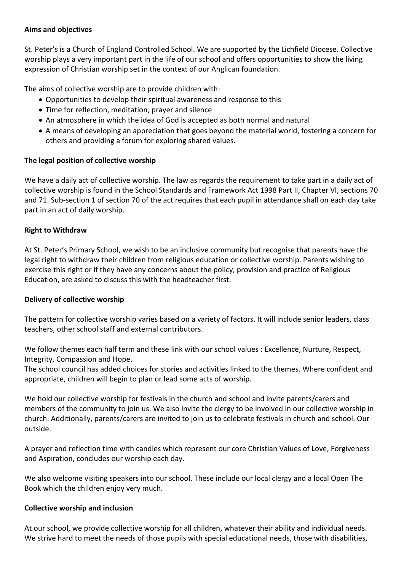## **Aims and objectives**

St. Peter's is a Church of England Controlled School. We are supported by the Lichfield Diocese. Collective worship plays a very important part in the life of our school and offers opportunities to show the living expression of Christian worship set in the context of our Anglican foundation.

The aims of collective worship are to provide children with:

- Opportunities to develop their spiritual awareness and response to this
- Time for reflection, meditation, prayer and silence
- An atmosphere in which the idea of God is accepted as both normal and natural
- A means of developing an appreciation that goes beyond the material world, fostering a concern for others and providing a forum for exploring shared values.

### **The legal position of collective worship**

We have a daily act of collective worship. The law as regards the requirement to take part in a daily act of collective worship is found in the School Standards and Framework Act 1998 Part II, Chapter VI, sections 70 and 71. Sub-section 1 of section 70 of the act requires that each pupil in attendance shall on each day take part in an act of daily worship.

### **Right to Withdraw**

At St. Peter's Primary School, we wish to be an inclusive community but recognise that parents have the legal right to withdraw their children from religious education or collective worship. Parents wishing to exercise this right or if they have any concerns about the policy, provision and practice of Religious Education, are asked to discuss this with the headteacher first.

#### **Delivery of collective worship**

The pattern for collective worship varies based on a variety of factors. It will include senior leaders, class teachers, other school staff and external contributors.

We follow themes each half term and these link with our school values : Excellence, Nurture, Respect, Integrity, Compassion and Hope.

The school council has added choices for stories and activities linked to the themes. Where confident and appropriate, children will begin to plan or lead some acts of worship.

We hold our collective worship for festivals in the church and school and invite parents/carers and members of the community to join us. We also invite the clergy to be involved in our collective worship in church. Additionally, parents/carers are invited to join us to celebrate festivals in church and school. Our outside.

A prayer and reflection time with candles which represent our core Christian Values of Love, Forgiveness and Aspiration, concludes our worship each day.

We also welcome visiting speakers into our school. These include our local clergy and a local Open The Book which the children enjoy very much.

#### **Collective worship and inclusion**

At our school, we provide collective worship for all children, whatever their ability and individual needs. We strive hard to meet the needs of those pupils with special educational needs, those with disabilities,